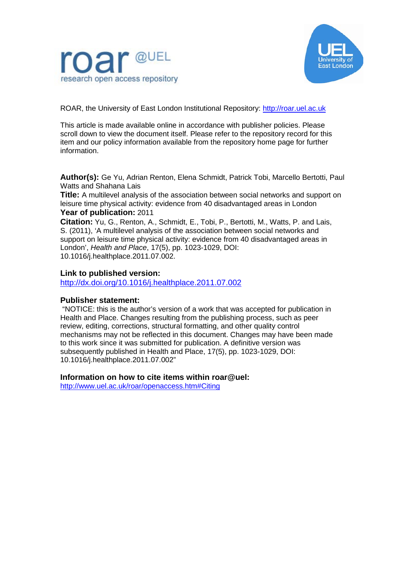



ROAR, the University of East London Institutional Repository: [http://roar.uel.ac.uk](http://roar.uel.ac.uk/)

This article is made available online in accordance with publisher policies. Please scroll down to view the document itself. Please refer to the repository record for this item and our policy information available from the repository home page for further information.

**Author(s):** Ge Yu, Adrian Renton, Elena Schmidt, Patrick Tobi, Marcello Bertotti, Paul Watts and Shahana Lais

**Title:** A multilevel analysis of the association between social networks and support on leisure time physical activity: evidence from 40 disadvantaged areas in London **Year of publication:** 2011

**Citation:** Yu, G., Renton, A., Schmidt, E., Tobi, P., Bertotti, M., Watts, P. and Lais, S. (2011), 'A multilevel analysis of the association between social networks and support on leisure time physical activity: evidence from 40 disadvantaged areas in London', *Health and Place*, 17(5), pp. 1023-1029, DOI: 10.1016/j.healthplace.2011.07.002.

# **Link to published version:**

<http://dx.doi.org/10.1016/j.healthplace.2011.07.002>

# **Publisher statement:**

"NOTICE: this is the author's version of a work that was accepted for publication in Health and Place. Changes resulting from the publishing process, such as peer review, editing, corrections, structural formatting, and other quality control mechanisms may not be reflected in this document. Changes may have been made to this work since it was submitted for publication. A definitive version was subsequently published in Health and Place, 17(5), pp. 1023-1029, DOI: 10.1016/j.healthplace.2011.07.002"

# **Information on how to cite items within roar@uel:**

<http://www.uel.ac.uk/roar/openaccess.htm#Citing>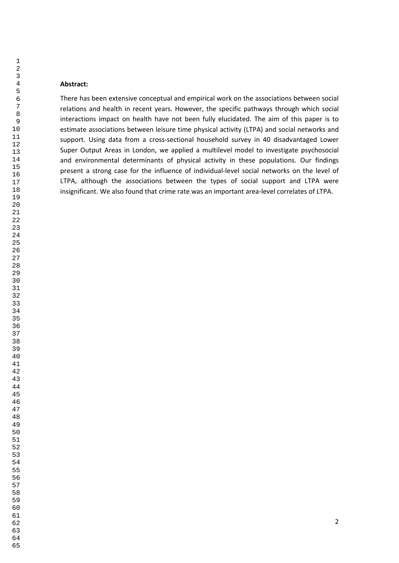#### **Abstract:**

There has been extensive conceptual and empirical work on the associations between social relations and health in recent years. However, the specific pathways through which social interactions impact on health have not been fully elucidated. The aim of this paper is to estimate associations between leisure time physical activity (LTPA) and social networks and support. Using data from a cross-sectional household survey in 40 disadvantaged Lower Super Output Areas in London, we applied a multilevel model to investigate psychosocial and environmental determinants of physical activity in these populations. Our findings present a strong case for the influence of individual-level social networks on the level of LTPA, although the associations between the types of social support and LTPA were insignificant. We also found that crime rate was an important area-level correlates of LTPA.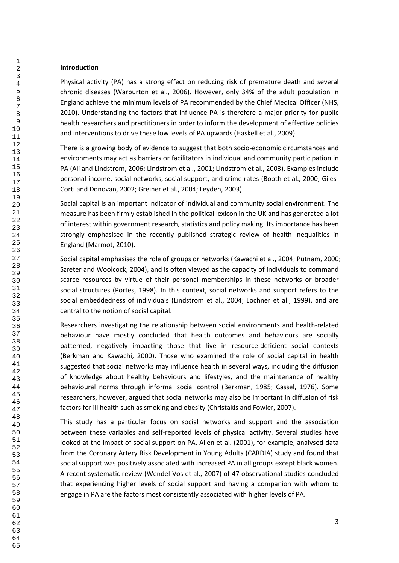#### **Introduction**

Physical activity (PA) has a strong effect on reducing risk of premature death and several chronic diseases (Warburton et al., 2006). However, only 34% of the adult population in England achieve the minimum levels of PA recommended by the Chief Medical Officer (NHS, 2010). Understanding the factors that influence PA is therefore a major priority for public health researchers and practitioners in order to inform the development of effective policies and interventions to drive these low levels of PA upwards (Haskell et al., 2009).

There is a growing body of evidence to suggest that both socio-economic circumstances and environments may act as barriers or facilitators in individual and community participation in PA (Ali and Lindstrom, 2006; Lindstrom et al., 2001; Lindstrom et al., 2003). Examples include personal income, social networks, social support, and crime rates (Booth et al., 2000; Giles-Corti and Donovan, 2002; Greiner et al., 2004; Leyden, 2003).

Social capital is an important indicator of individual and community social environment. The measure has been firmly established in the political lexicon in the UK and has generated a lot of interest within government research, statistics and policy making. Its importance has been strongly emphasised in the recently published strategic review of health inequalities in England (Marmot, 2010).

Social capital emphasises the role of groups or networks (Kawachi et al., 2004; Putnam, 2000; Szreter and Woolcock, 2004), and is often viewed as the capacity of individuals to command scarce resources by virtue of their personal memberships in these networks or broader social structures (Portes, 1998). In this context, social networks and support refers to the social embeddedness of individuals (Lindstrom et al., 2004; Lochner et al., 1999), and are central to the notion of social capital.

Researchers investigating the relationship between social environments and health-related behaviour have mostly concluded that health outcomes and behaviours are socially patterned, negatively impacting those that live in resource-deficient social contexts (Berkman and Kawachi, 2000). Those who examined the role of social capital in health suggested that social networks may influence health in several ways, including the diffusion of knowledge about healthy behaviours and lifestyles, and the maintenance of healthy behavioural norms through informal social control (Berkman, 1985; Cassel, 1976). Some researchers, however, argued that social networks may also be important in diffusion of risk factors for ill health such as smoking and obesity (Christakis and Fowler, 2007).

This study has a particular focus on social networks and support and the association between these variables and self-reported levels of physical activity. Several studies have looked at the impact of social support on PA. Allen et al. (2001), for example, analysed data from the Coronary Artery Risk Development in Young Adults (CARDIA) study and found that social support was positively associated with increased PA in all groups except black women. A recent systematic review (Wendel-Vos et al., 2007) of 47 observational studies concluded that experiencing higher levels of social support and having a companion with whom to engage in PA are the factors most consistently associated with higher levels of PA.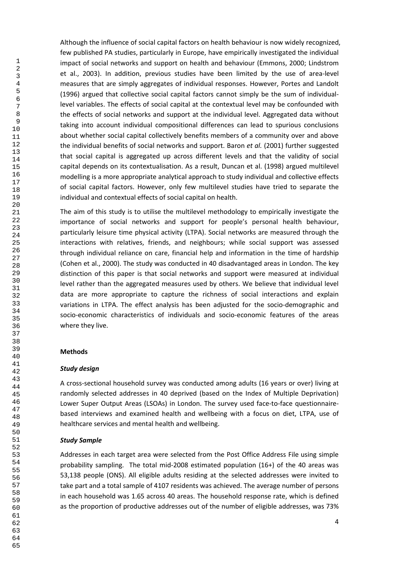Although the influence of social capital factors on health behaviour is now widely recognized, few published PA studies, particularly in Europe, have empirically investigated the individual impact of social networks and support on health and behaviour (Emmons, 2000; Lindstrom et al., 2003). In addition, previous studies have been limited by the use of area-level measures that are simply aggregates of individual responses. However, Portes and Landolt (1996) argued that collective social capital factors cannot simply be the sum of individuallevel variables. The effects of social capital at the contextual level may be confounded with the effects of social networks and support at the individual level. Aggregated data without taking into account individual compositional differences can lead to spurious conclusions about whether social capital collectively benefits members of a community over and above the individual benefits of social networks and support. Baron *et al.* (2001) further suggested that social capital is aggregated up across different levels and that the validity of social capital depends on its contextualisation. As a result, Duncan et al. (1998) argued multilevel modelling is a more appropriate analytical approach to study individual and collective effects of social capital factors. However, only few multilevel studies have tried to separate the individual and contextual effects of social capital on health.

The aim of this study is to utilise the multilevel methodology to empirically investigate the importance of social networks and support for people's personal health behaviour, particularly leisure time physical activity (LTPA). Social networks are measured through the interactions with relatives, friends, and neighbours; while social support was assessed through individual reliance on care, financial help and information in the time of hardship (Cohen et al., 2000). The study was conducted in 40 disadvantaged areas in London. The key distinction of this paper is that social networks and support were measured at individual level rather than the aggregated measures used by others. We believe that individual level data are more appropriate to capture the richness of social interactions and explain variations in LTPA. The effect analysis has been adjusted for the socio-demographic and socio-economic characteristics of individuals and socio-economic features of the areas where they live.

# **Methods**

# *Study design*

A cross-sectional household survey was conducted among adults (16 years or over) living at randomly selected addresses in 40 deprived (based on the Index of Multiple Deprivation) Lower Super Output Areas (LSOAs) in London. The survey used face-to-face questionnairebased interviews and examined health and wellbeing with a focus on diet, LTPA, use of healthcare services and mental health and wellbeing.

# *Study Sample*

Addresses in each target area were selected from the Post Office Address File using simple probability sampling. The total mid-2008 estimated population (16+) of the 40 areas was 53,138 people (ONS). All eligible adults residing at the selected addresses were invited to take part and a total sample of 4107 residents was achieved. The average number of persons in each household was 1.65 across 40 areas. The household response rate, which is defined as the proportion of productive addresses out of the number of eligible addresses, was 73%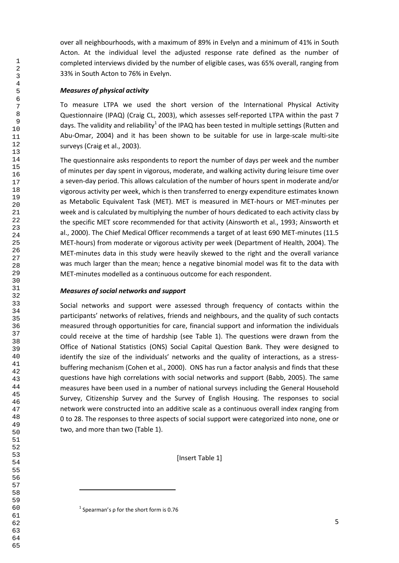over all neighbourhoods, with a maximum of 89% in Evelyn and a minimum of 41% in South Acton. At the individual level the adjusted response rate defined as the number of completed interviews divided by the number of eligible cases, was 65% overall, ranging from 33% in South Acton to 76% in Evelyn.

### *Measures of physical activity*

To measure LTPA we used the short version of the International Physical Activity Questionnaire (IPAQ) (Craig CL, 2003), which assesses self-reported LTPA within the past 7 days. The validity and reliability<sup>1</sup> of the IPAQ has been tested in multiple settings (Rutten and Abu-Omar, 2004) and it has been shown to be suitable for use in large-scale multi-site surveys (Craig et al., 2003).

The questionnaire asks respondents to report the number of days per week and the number of minutes per day spent in vigorous, moderate, and walking activity during leisure time over a seven-day period. This allows calculation of the number of hours spent in moderate and/or vigorous activity per week, which is then transferred to energy expenditure estimates known as Metabolic Equivalent Task (MET). MET is measured in MET-hours or MET-minutes per week and is calculated by multiplying the number of hours dedicated to each activity class by the specific MET score recommended for that activity (Ainsworth et al., 1993; Ainsworth et al., 2000). The Chief Medical Officer recommends a target of at least 690 MET-minutes (11.5 MET-hours) from moderate or vigorous activity per week (Department of Health, 2004). The MET-minutes data in this study were heavily skewed to the right and the overall variance was much larger than the mean; hence a negative binomial model was fit to the data with MET-minutes modelled as a continuous outcome for each respondent.

#### *Measures of social networks and support*

Social networks and support were assessed through frequency of contacts within the participants' networks of relatives, friends and neighbours, and the quality of such contacts measured through opportunities for care, financial support and information the individuals could receive at the time of hardship (see Table 1). The questions were drawn from the Office of National Statistics (ONS) Social Capital Question Bank. They were designed to identify the size of the individuals' networks and the quality of interactions, as a stressbuffering mechanism (Cohen et al., 2000). ONS has run a factor analysis and finds that these questions have high correlations with social networks and support (Babb, 2005). The same measures have been used in a number of national surveys including the General Household Survey, Citizenship Survey and the Survey of English Housing. The responses to social network were constructed into an additive scale as a continuous overall index ranging from 0 to 28. The responses to three aspects of social support were categorized into none, one or two, and more than two (Table 1).

[Insert Table 1]

**.** 

 $<sup>1</sup>$  Spearman's  $ρ$  for the short form is 0.76</sup>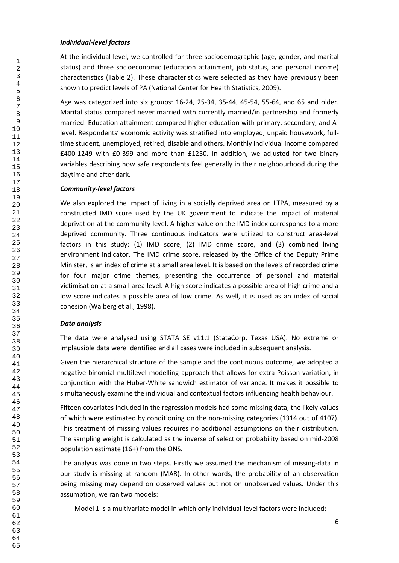# *Individual-level factors*

At the individual level, we controlled for three sociodemographic (age, gender, and marital status) and three socioeconomic (education attainment, job status, and personal income) characteristics (Table 2). These characteristics were selected as they have previously been shown to predict levels of PA (National Center for Health Statistics, 2009).

Age was categorized into six groups: 16-24, 25-34, 35-44, 45-54, 55-64, and 65 and older. Marital status compared never married with currently married/in partnership and formerly married. Education attainment compared higher education with primary, secondary, and Alevel. Respondents' economic activity was stratified into employed, unpaid housework, fulltime student, unemployed, retired, disable and others. Monthly individual income compared £400-1249 with £0-399 and more than £1250. In addition, we adjusted for two binary variables describing how safe respondents feel generally in their neighbourhood during the daytime and after dark.

# *Community-level factors*

We also explored the impact of living in a socially deprived area on LTPA, measured by a constructed IMD score used by the UK government to indicate the impact of material deprivation at the community level. A higher value on the IMD index corresponds to a more deprived community. Three continuous indicators were utilized to construct area-level factors in this study: (1) IMD score, (2) IMD crime score, and (3) combined living environment indicator. The IMD crime score, released by the Office of the Deputy Prime Minister, is an index of crime at a small area level. It is based on the levels of recorded crime for four major crime themes, presenting the occurrence of personal and material victimisation at a small area level. A high score indicates a possible area of high crime and a low score indicates a possible area of low crime. As well, it is used as an index of social cohesion (Walberg et al., 1998).

# *Data analysis*

The data were analysed using STATA SE v11.1 (StataCorp, Texas USA). No extreme or implausible data were identified and all cases were included in subsequent analysis.

Given the hierarchical structure of the sample and the continuous outcome, we adopted a negative binomial multilevel modelling approach that allows for extra-Poisson variation, in conjunction with the Huber-White sandwich estimator of variance. It makes it possible to simultaneously examine the individual and contextual factors influencing health behaviour.

Fifteen covariates included in the regression models had some missing data, the likely values of which were estimated by conditioning on the non-missing categories (1314 out of 4107). This treatment of missing values requires no additional assumptions on their distribution. The sampling weight is calculated as the inverse of selection probability based on mid-2008 population estimate (16+) from the ONS.

The analysis was done in two steps. Firstly we assumed the mechanism of missing-data in our study is missing at random (MAR). In other words, the probability of an observation being missing may depend on observed values but not on unobserved values. Under this assumption, we ran two models:

- Model 1 is a multivariate model in which only individual-level factors were included;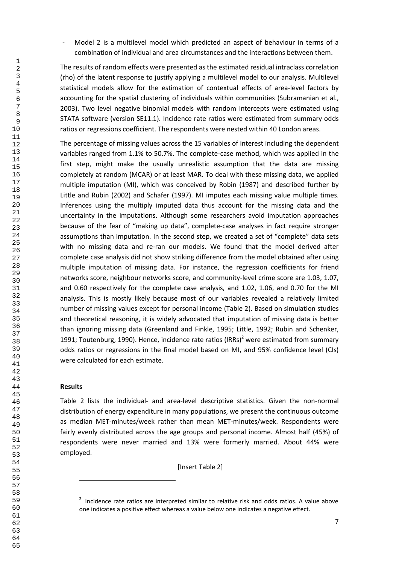Model 2 is a multilevel model which predicted an aspect of behaviour in terms of a combination of individual and area circumstances and the interactions between them.

The results of random effects were presented as the estimated residual intraclass correlation (rho) of the latent response to justify applying a multilevel model to our analysis. Multilevel statistical models allow for the estimation of contextual effects of area-level factors by accounting for the spatial clustering of individuals within communities (Subramanian et al., 2003). Two level negative binomial models with random intercepts were estimated using STATA software (version SE11.1). Incidence rate ratios were estimated from summary odds ratios or regressions coefficient. The respondents were nested within 40 London areas.

The percentage of missing values across the 15 variables of interest including the dependent variables ranged from 1.1% to 50.7%. The complete-case method, which was applied in the first step, might make the usually unrealistic assumption that the data are missing completely at random (MCAR) or at least MAR. To deal with these missing data, we applied multiple imputation (MI), which was conceived by Robin (1987) and described further by Little and Rubin (2002) and Schafer (1997). MI imputes each missing value multiple times. Inferences using the multiply imputed data thus account for the missing data and the uncertainty in the imputations. Although some researchers avoid imputation approaches because of the fear of "making up data", complete-case analyses in fact require stronger assumptions than imputation. In the second step, we created a set of "complete" data sets with no missing data and re-ran our models. We found that the model derived after complete case analysis did not show striking difference from the model obtained after using multiple imputation of missing data. For instance, the regression coefficients for friend networks score, neighbour networks score, and community-level crime score are 1.03, 1.07, and 0.60 respectively for the complete case analysis, and 1.02, 1.06, and 0.70 for the MI analysis. This is mostly likely because most of our variables revealed a relatively limited number of missing values except for personal income (Table 2). Based on simulation studies and theoretical reasoning, it is widely advocated that imputation of missing data is better than ignoring missing data (Greenland and Finkle, 1995; Little, 1992; Rubin and Schenker, 1991; Toutenburg, 1990). Hence, incidence rate ratios (IRRs)<sup>2</sup> were estimated from summary odds ratios or regressions in the final model based on MI, and 95% confidence level (CIs) were calculated for each estimate.

# **Results**

**.** 

Table 2 lists the individual- and area-level descriptive statistics. Given the non-normal distribution of energy expenditure in many populations, we present the continuous outcome as median MET-minutes/week rather than mean MET-minutes/week. Respondents were fairly evenly distributed across the age groups and personal income. Almost half (45%) of respondents were never married and 13% were formerly married. About 44% were employed.

[Insert Table 2]

<sup>&</sup>lt;sup>2</sup> Incidence rate ratios are interpreted similar to relative risk and odds ratios. A value above one indicates a positive effect whereas a value below one indicates a negative effect.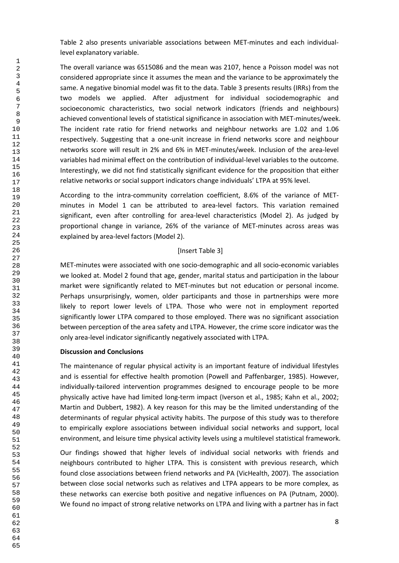Table 2 also presents univariable associations between MET-minutes and each individuallevel explanatory variable.

The overall variance was 6515086 and the mean was 2107, hence a Poisson model was not considered appropriate since it assumes the mean and the variance to be approximately the same. A negative binomial model was fit to the data. Table 3 presents results (IRRs) from the two models we applied. After adjustment for individual sociodemographic and socioeconomic characteristics, two social network indicators (friends and neighbours) achieved conventional levels of statistical significance in association with MET-minutes/week. The incident rate ratio for friend networks and neighbour networks are 1.02 and 1.06 respectively. Suggesting that a one-unit increase in friend networks score and neighbour networks score will result in 2% and 6% in MET-minutes/week. Inclusion of the area-level variables had minimal effect on the contribution of individual-level variables to the outcome. Interestingly, we did not find statistically significant evidence for the proposition that either relative networks or social support indicators change individuals' LTPA at 95% level.

According to the intra-community correlation coefficient, 8.6% of the variance of METminutes in Model 1 can be attributed to area-level factors. This variation remained significant, even after controlling for area-level characteristics (Model 2). As judged by proportional change in variance, 26% of the variance of MET-minutes across areas was explained by area-level factors (Model 2).

# [Insert Table 3]

MET-minutes were associated with one socio-demographic and all socio-economic variables we looked at. Model 2 found that age, gender, marital status and participation in the labour market were significantly related to MET-minutes but not education or personal income. Perhaps unsurprisingly, women, older participants and those in partnerships were more likely to report lower levels of LTPA. Those who were not in employment reported significantly lower LTPA compared to those employed. There was no significant association between perception of the area safety and LTPA. However, the crime score indicator was the only area-level indicator significantly negatively associated with LTPA.

# **Discussion and Conclusions**

The maintenance of regular physical activity is an important feature of individual lifestyles and is essential for effective health promotion (Powell and Paffenbarger, 1985). However, individually-tailored intervention programmes designed to encourage people to be more physically active have had limited long-term impact (Iverson et al., 1985; Kahn et al., 2002; Martin and Dubbert, 1982). A key reason for this may be the limited understanding of the determinants of regular physical activity habits. The purpose of this study was to therefore to empirically explore associations between individual social networks and support, local environment, and leisure time physical activity levels using a multilevel statistical framework.

Our findings showed that higher levels of individual social networks with friends and neighbours contributed to higher LTPA. This is consistent with previous research, which found close associations between friend networks and PA (VicHealth, 2007). The association between close social networks such as relatives and LTPA appears to be more complex, as these networks can exercise both positive and negative influences on PA (Putnam, 2000). We found no impact of strong relative networks on LTPA and living with a partner has in fact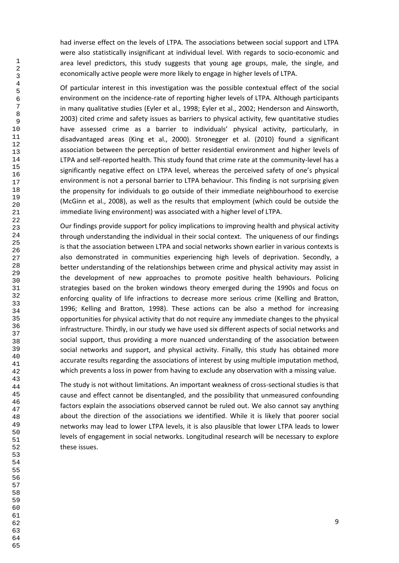had inverse effect on the levels of LTPA. The associations between social support and LTPA were also statistically insignificant at individual level. With regards to socio-economic and area level predictors, this study suggests that young age groups, male, the single, and economically active people were more likely to engage in higher levels of LTPA.

Of particular interest in this investigation was the possible contextual effect of the social environment on the incidence-rate of reporting higher levels of LTPA. Although participants in many qualitative studies (Eyler et al., 1998; Eyler et al., 2002; Henderson and Ainsworth, 2003) cited crime and safety issues as barriers to physical activity, few quantitative studies have assessed crime as a barrier to individuals' physical activity, particularly, in disadvantaged areas (King et al., 2000). Stronegger et al. (2010) found a significant association between the perception of better residential environment and higher levels of LTPA and self-reported health. This study found that crime rate at the community-level has a significantly negative effect on LTPA level, whereas the perceived safety of one's physical environment is not a personal barrier to LTPA behaviour. This finding is not surprising given the propensity for individuals to go outside of their immediate neighbourhood to exercise (McGinn et al., 2008), as well as the results that employment (which could be outside the immediate living environment) was associated with a higher level of LTPA.

Our findings provide support for policy implications to improving health and physical activity through understanding the individual in their social context. The uniqueness of our findings is that the association between LTPA and social networks shown earlier in various contexts is also demonstrated in communities experiencing high levels of deprivation. Secondly, a better understanding of the relationships between crime and physical activity may assist in the development of new approaches to promote positive health behaviours. Policing strategies based on the broken windows theory emerged during the 1990s and focus on enforcing quality of life infractions to decrease more serious crime (Kelling and Bratton, 1996; Kelling and Bratton, 1998). These actions can be also a method for increasing opportunities for physical activity that do not require any immediate changes to the physical infrastructure. Thirdly, in our study we have used six different aspects of social networks and social support, thus providing a more nuanced understanding of the association between social networks and support, and physical activity. Finally, this study has obtained more accurate results regarding the associations of interest by using multiple imputation method, which prevents a loss in power from having to exclude any observation with a missing value.

The study is not without limitations. An important weakness of cross-sectional studies is that cause and effect cannot be disentangled, and the possibility that unmeasured confounding factors explain the associations observed cannot be ruled out. We also cannot say anything about the direction of the associations we identified. While it is likely that poorer social networks may lead to lower LTPA levels, it is also plausible that lower LTPA leads to lower levels of engagement in social networks. Longitudinal research will be necessary to explore these issues.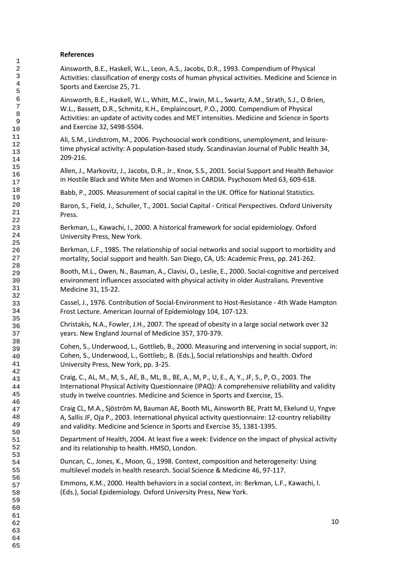# **References**

Ainsworth, B.E., Haskell, W.L., Leon, A.S., Jacobs, D.R., 1993. Compendium of Physical Activities: classification of energy costs of human physical activities. Medicine and Science in Sports and Exercise 25, 71.

Ainsworth, B.E., Haskell, W.L., Whitt, M.C., Irwin, M.L., Swartz, A.M., Strath, S.J., O Brien, W.L., Bassett, D.R., Schmitz, K.H., Emplaincourt, P.O., 2000. Compendium of Physical Activities: an update of activity codes and MET intensities. Medicine and Science in Sports and Exercise 32, S498-S504.

Ali, S.M., Lindstrom, M., 2006. Psychosocial work conditions, unemployment, and leisuretime physical activity: A population-based study. Scandinavian Journal of Public Health 34, 209-216.

Allen, J., Markovitz, J., Jacobs, D.R., Jr., Knox, S.S., 2001. Social Support and Health Behavior in Hostile Black and White Men and Women in CARDIA. Psychosom Med 63, 609-618.

Babb, P., 2005. Measurement of social capital in the UK. Office for National Statistics.

Baron, S., Field, J., Schuller, T., 2001. Social Capital - Critical Perspectives. Oxford University Press.

Berkman, L., Kawachi, I., 2000. A historical framework for social epidemiology. Oxford University Press, New York.

Berkman, L.F., 1985. The relationship of social networks and social support to morbidity and mortality, Social support and health. San Diego, CA, US: Academic Press, pp. 241-262.

Booth, M.L., Owen, N., Bauman, A., Clavisi, O., Leslie, E., 2000. Social-cognitive and perceived environment influences associated with physical activity in older Australians. Preventive Medicine 31, 15-22.

Cassel, J., 1976. Contribution of Social-Environment to Host-Resistance - 4th Wade Hampton Frost Lecture. American Journal of Epidemiology 104, 107-123.

Christakis, N.A., Fowler, J.H., 2007. The spread of obesity in a large social network over 32 years. New England Journal of Medicine 357, 370-379.

Cohen, S., Underwood, L., Gottlieb, B., 2000. Measuring and intervening in social support, in: Cohen, S., Underwood, L., Gottlieb;, B. (Eds.), Social relationships and health. Oxford University Press, New York, pp. 3-25.

Craig, C., AL, M., M, S., AE, B., ML, B., BE, A., M, P., U, E., A, Y., JF, S., P, O., 2003. The International Physical Activity Questionnaire (IPAQ): A comprehensive reliability and validity study in twelve countries. Medicine and Science in Sports and Exercise, 15.

Craig CL, M.A., Sjöström M, Bauman AE, Booth ML, Ainsworth BE, Pratt M, Ekelund U, Yngve A, Sallis JF, Oja P., 2003. International physical activity questionnaire: 12-country reliability and validity. Medicine and Science in Sports and Exercise 35, 1381-1395.

Department of Health, 2004. At least five a week: Evidence on the impact of physical activity and its relationship to health. HMSO, London.

Duncan, C., Jones, K., Moon, G., 1998. Context, composition and heterogeneity: Using multilevel models in health research. Social Science & Medicine 46, 97-117.

Emmons, K.M., 2000. Health behaviors in a social context, in: Berkman, L.F., Kawachi, I. (Eds.), Social Epidemiology. Oxford University Press, New York.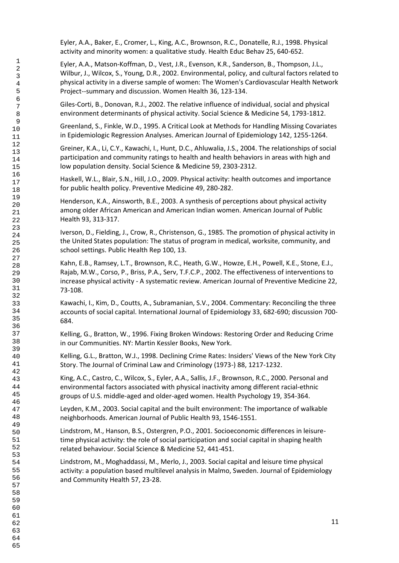Eyler, A.A., Baker, E., Cromer, L., King, A.C., Brownson, R.C., Donatelle, R.J., 1998. Physical activity and minority women: a qualitative study. Health Educ Behav 25, 640-652.

Eyler, A.A., Matson-Koffman, D., Vest, J.R., Evenson, K.R., Sanderson, B., Thompson, J.L., Wilbur, J., Wilcox, S., Young, D.R., 2002. Environmental, policy, and cultural factors related to physical activity in a diverse sample of women: The Women's Cardiovascular Health Network Project--summary and discussion. Women Health 36, 123-134.

Giles-Corti, B., Donovan, R.J., 2002. The relative influence of individual, social and physical environment determinants of physical activity. Social Science & Medicine 54, 1793-1812.

Greenland, S., Finkle, W.D., 1995. A Critical Look at Methods for Handling Missing Covariates in Epidemiologic Regression Analyses. American Journal of Epidemiology 142, 1255-1264.

Greiner, K.A., Li, C.Y., Kawachi, I., Hunt, D.C., Ahluwalia, J.S., 2004. The relationships of social participation and community ratings to health and health behaviors in areas with high and low population density. Social Science & Medicine 59, 2303-2312.

Haskell, W.L., Blair, S.N., Hill, J.O., 2009. Physical activity: health outcomes and importance for public health policy. Preventive Medicine 49, 280-282.

Henderson, K.A., Ainsworth, B.E., 2003. A synthesis of perceptions about physical activity among older African American and American Indian women. American Journal of Public Health 93, 313-317.

Iverson, D., Fielding, J., Crow, R., Christenson, G., 1985. The promotion of physical activity in the United States population: The status of program in medical, worksite, community, and school settings. Public Health Rep 100, 13.

Kahn, E.B., Ramsey, L.T., Brownson, R.C., Heath, G.W., Howze, E.H., Powell, K.E., Stone, E.J., Rajab, M.W., Corso, P., Briss, P.A., Serv, T.F.C.P., 2002. The effectiveness of interventions to increase physical activity - A systematic review. American Journal of Preventive Medicine 22, 73-108.

Kawachi, I., Kim, D., Coutts, A., Subramanian, S.V., 2004. Commentary: Reconciling the three accounts of social capital. International Journal of Epidemiology 33, 682-690; discussion 700- 684.

Kelling, G., Bratton, W., 1996. Fixing Broken Windows: Restoring Order and Reducing Crime in our Communities. NY: Martin Kessler Books, New York.

Kelling, G.L., Bratton, W.J., 1998. Declining Crime Rates: Insiders' Views of the New York City Story. The Journal of Criminal Law and Criminology (1973-) 88, 1217-1232.

King, A.C., Castro, C., Wilcox, S., Eyler, A.A., Sallis, J.F., Brownson, R.C., 2000. Personal and environmental factors associated with physical inactivity among different racial-ethnic groups of U.S. middle-aged and older-aged women. Health Psychology 19, 354-364.

Leyden, K.M., 2003. Social capital and the built environment: The importance of walkable neighborhoods. American Journal of Public Health 93, 1546-1551.

Lindstrom, M., Hanson, B.S., Ostergren, P.O., 2001. Socioeconomic differences in leisuretime physical activity: the role of social participation and social capital in shaping health related behaviour. Social Science & Medicine 52, 441-451.

Lindstrom, M., Moghaddassi, M., Merlo, J., 2003. Social capital and leisure time physical activity: a population based multilevel analysis in Malmo, Sweden. Journal of Epidemiology and Community Health 57, 23-28.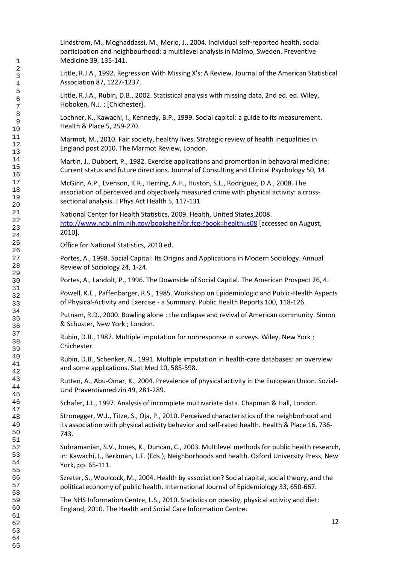Lindstrom, M., Moghaddassi, M., Merlo, J., 2004. Individual self-reported health, social participation and neighbourhood: a multilevel analysis in Malmo, Sweden. Preventive Medicine 39, 135-141.

Little, R.J.A., 1992. Regression With Missing X's: A Review. Journal of the American Statistical Association 87, 1227-1237.

Little, R.J.A., Rubin, D.B., 2002. Statistical analysis with missing data, 2nd ed. ed. Wiley, Hoboken, N.J. ; [Chichester].

Lochner, K., Kawachi, I., Kennedy, B.P., 1999. Social capital: a guide to its measurement. Health & Place 5, 259-270.

Marmot, M., 2010. Fair society, healthy lives. Strategic review of health inequalities in England post 2010. The Marmot Review, London.

Martin, J., Dubbert, P., 1982. Exercise applications and promortion in behavoral medicine: Current status and future directions. Journal of Consulting and Clinical Psychology 50, 14.

McGinn, A.P., Evenson, K.R., Herring, A.H., Huston, S.L., Rodriguez, D.A., 2008. The association of perceived and objectively measured crime with physical activity: a crosssectional analysis. J Phys Act Health 5, 117-131.

National Center for Health Statistics, 2009. Health, United States,2008. <http://www.ncbi.nlm.nih.gov/bookshelf/br.fcgi?book=healthus08> [accessed on August, 2010].

Office for National Statistics, 2010 ed.

Portes, A., 1998. Social Capital: Its Origins and Applications in Modern Sociology. Annual Review of Sociology 24, 1-24.

Portes, A., Landolt, P., 1996. The Downside of Social Capital. The American Prospect 26, 4.

Powell, K.E., Paffenbarger, R.S., 1985. Workshop on Epidemiologic and Public-Health Aspects of Physical-Activity and Exercise - a Summary. Public Health Reports 100, 118-126.

Putnam, R.D., 2000. Bowling alone : the collapse and revival of American community. Simon & Schuster, New York ; London.

Rubin, D.B., 1987. Multiple imputation for nonresponse in surveys. Wiley, New York ; Chichester.

Rubin, D.B., Schenker, N., 1991. Multiple imputation in health-care databases: an overview and some applications. Stat Med 10, 585-598.

Rutten, A., Abu-Omar, K., 2004. Prevalence of physical activity in the European Union. Sozial-Und Praventivmedizin 49, 281-289.

Schafer, J.L., 1997. Analysis of incomplete multivariate data. Chapman & Hall, London.

Stronegger, W.J., Titze, S., Oja, P., 2010. Perceived characteristics of the neighborhood and its association with physical activity behavior and self-rated health. Health & Place 16, 736- 743.

Subramanian, S.V., Jones, K., Duncan, C., 2003. Multilevel methods for public health research, in: Kawachi, I., Berkman, L.F. (Eds.), Neighborhoods and health. Oxford University Press, New York, pp. 65-111.

Szreter, S., Woolcock, M., 2004. Health by association? Social capital, social theory, and the political economy of public health. International Journal of Epidemiology 33, 650-667.

The NHS Information Centre, L.S., 2010. Statistics on obesity, physical activity and diet: England, 2010. The Health and Social Care Information Centre.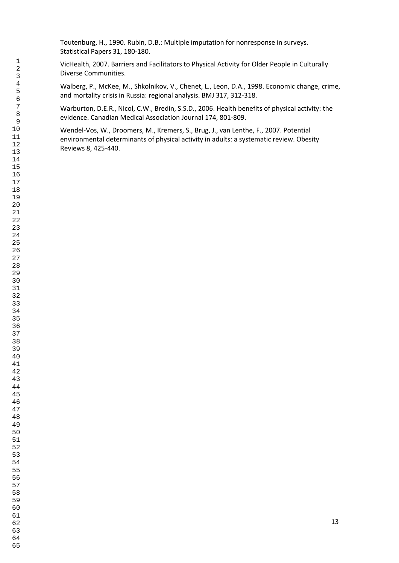Toutenburg, H., 1990. Rubin, D.B.: Multiple imputation for nonresponse in surveys. Statistical Papers 31, 180-180.

VicHealth, 2007. Barriers and Facilitators to Physical Activity for Older People in Culturally Diverse Communities.

Walberg, P., McKee, M., Shkolnikov, V., Chenet, L., Leon, D.A., 1998. Economic change, crime, and mortality crisis in Russia: regional analysis. BMJ 317, 312-318.

Warburton, D.E.R., Nicol, C.W., Bredin, S.S.D., 2006. Health benefits of physical activity: the evidence. Canadian Medical Association Journal 174, 801-809.

Wendel-Vos, W., Droomers, M., Kremers, S., Brug, J., van Lenthe, F., 2007. Potential environmental determinants of physical activity in adults: a systematic review. Obesity Reviews 8, 425-440.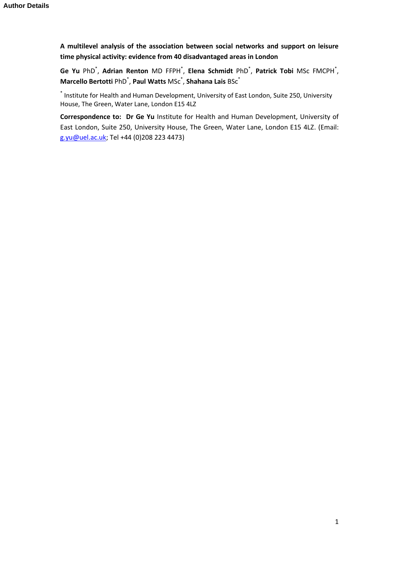**A multilevel analysis of the association between social networks and support on leisure time physical activity: evidence from 40 disadvantaged areas in London**

**Ge Yu** PhD\* , **Adrian Renton** MD FFPH\* , **Elena Schmidt** PhD\* , **Patrick Tobi** MSc FMCPH\* , **Marcello Bertotti** PhD\* , **Paul Watts** MSc\* , **Shahana Lais** BSc\*

\* Institute for Health and Human Development, University of East London, Suite 250, University House, The Green, Water Lane, London E15 4LZ

**Correspondence to: Dr Ge Yu** Institute for Health and Human Development, University of East London, Suite 250, University House, The Green, Water Lane, London E15 4LZ. (Email: [g.yu@uel.ac.uk;](mailto:g.yu@uel.ac.uk) Tel +44 (0)208 223 4473)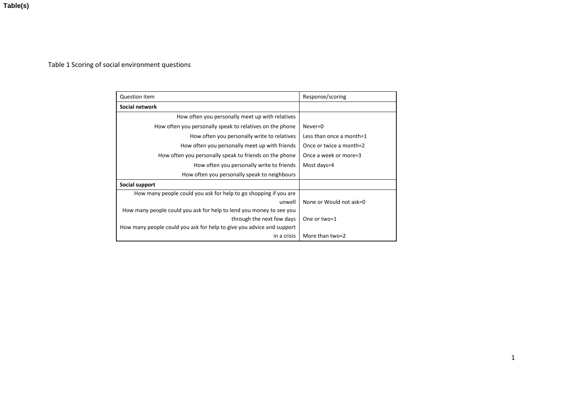**Table(s)**

# Table 1 Scoring of social environment questions

| <b>Question item</b>                                                  | Response/scoring         |  |  |
|-----------------------------------------------------------------------|--------------------------|--|--|
| Social network                                                        |                          |  |  |
| How often you personally meet up with relatives                       |                          |  |  |
| How often you personally speak to relatives on the phone              | $Never=0$                |  |  |
| How often you personally write to relatives                           | Less than once a month=1 |  |  |
| How often you personally meet up with friends                         | Once or twice a month=2  |  |  |
| How often you personally speak to friends on the phone                | Once a week or more=3    |  |  |
| How often you personally write to friends                             | Most days=4              |  |  |
| How often you personally speak to neighbours                          |                          |  |  |
| Social support                                                        |                          |  |  |
| How many people could you ask for help to go shopping if you are      |                          |  |  |
| unwell                                                                | None or Would not ask=0  |  |  |
| How many people could you ask for help to lend you money to see you   |                          |  |  |
| through the next few days                                             | One or two=1             |  |  |
| How many people could you ask for help to give you advice and support |                          |  |  |
| in a crisis                                                           | More than two=2          |  |  |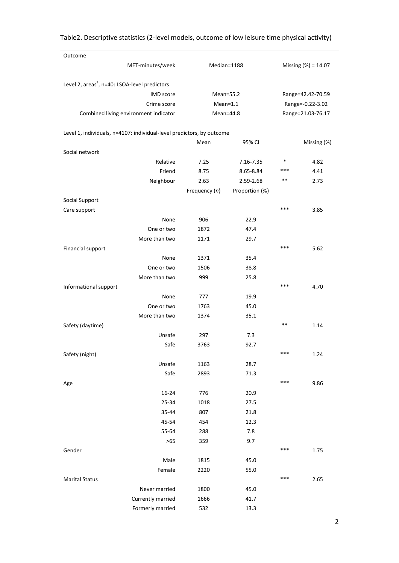| Outcome                                                               |               |                |                     |                   |  |
|-----------------------------------------------------------------------|---------------|----------------|---------------------|-------------------|--|
| MET-minutes/week                                                      | Median=1188   |                | Missing (%) = 14.07 |                   |  |
|                                                                       |               |                |                     |                   |  |
| Level 2, areas <sup>a</sup> , n=40: LSOA-level predictors             |               |                |                     |                   |  |
| <b>IMD</b> score                                                      | Mean=55.2     |                |                     | Range=42.42-70.59 |  |
| Crime score                                                           | $Mean=1.1$    |                |                     | Range=-0.22-3.02  |  |
| Combined living environment indicator                                 | Mean=44.8     |                |                     | Range=21.03-76.17 |  |
|                                                                       |               |                |                     |                   |  |
| Level 1, individuals, n=4107: individual-level predictors, by outcome |               |                |                     |                   |  |
|                                                                       | Mean          | 95% CI         |                     | Missing (%)       |  |
| Social network                                                        |               |                |                     |                   |  |
| Relative                                                              | 7.25          | 7.16-7.35      | $\ast$              | 4.82              |  |
| Friend                                                                | 8.75          | 8.65-8.84      | ***                 | 4.41              |  |
| Neighbour                                                             | 2.63          | 2.59-2.68      | $***$               | 2.73              |  |
|                                                                       | Frequency (n) | Proportion (%) |                     |                   |  |
| Social Support                                                        |               |                |                     |                   |  |
| Care support                                                          |               |                | ***                 | 3.85              |  |
| None                                                                  | 906           | 22.9           |                     |                   |  |
| One or two                                                            | 1872          | 47.4           |                     |                   |  |
|                                                                       |               |                |                     |                   |  |
| More than two                                                         | 1171          | 29.7           | ***                 |                   |  |
| Financial support                                                     |               |                |                     | 5.62              |  |
| None                                                                  | 1371          | 35.4           |                     |                   |  |
| One or two                                                            | 1506          | 38.8           |                     |                   |  |
| More than two                                                         | 999           | 25.8           |                     |                   |  |
| Informational support                                                 |               |                | ***                 | 4.70              |  |
| None                                                                  | 777           | 19.9           |                     |                   |  |
| One or two                                                            | 1763          | 45.0           |                     |                   |  |
| More than two                                                         | 1374          | 35.1           |                     |                   |  |
| Safety (daytime)                                                      |               |                | $***$               | 1.14              |  |
| Unsafe                                                                | 297           | 7.3            |                     |                   |  |
| Safe                                                                  | 3763          | 92.7           |                     |                   |  |
| Safety (night)                                                        |               |                | ***                 | 1.24              |  |
| Unsafe                                                                | 1163          | 28.7           |                     |                   |  |
| Safe                                                                  | 2893          | 71.3           |                     |                   |  |
| Age                                                                   |               |                | ***                 | 9.86              |  |
| 16-24                                                                 | 776           | 20.9           |                     |                   |  |
| 25-34                                                                 | 1018          | 27.5           |                     |                   |  |
| 35-44                                                                 | 807           | 21.8           |                     |                   |  |
| 45-54                                                                 | 454           | 12.3           |                     |                   |  |
| 55-64                                                                 | 288           | 7.8            |                     |                   |  |
| >65                                                                   | 359           | 9.7            |                     |                   |  |
| Gender                                                                |               |                | ***                 | 1.75              |  |
| Male                                                                  | 1815          | 45.0           |                     |                   |  |
| Female                                                                | 2220          | 55.0           |                     |                   |  |
| <b>Marital Status</b>                                                 |               |                | ***                 | 2.65              |  |
| Never married                                                         | 1800          | 45.0           |                     |                   |  |
| Currently married                                                     | 1666          | 41.7           |                     |                   |  |
| Formerly married                                                      | 532           | 13.3           |                     |                   |  |
|                                                                       |               |                |                     |                   |  |

Table2. Descriptive statistics (2-level models, outcome of low leisure time physical activity)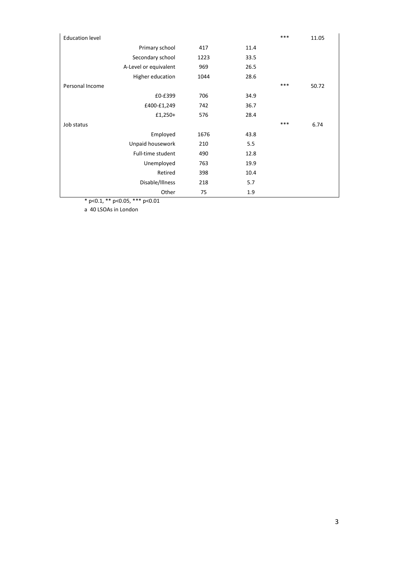| <b>Education level</b> |                       |      |      | *** | 11.05 |
|------------------------|-----------------------|------|------|-----|-------|
|                        | Primary school        | 417  | 11.4 |     |       |
|                        | Secondary school      | 1223 | 33.5 |     |       |
|                        | A-Level or equivalent | 969  | 26.5 |     |       |
|                        | Higher education      | 1044 | 28.6 |     |       |
| Personal Income        |                       |      |      | *** | 50.72 |
|                        | £0-£399               | 706  | 34.9 |     |       |
|                        | £400-£1,249           | 742  | 36.7 |     |       |
|                        | $£1,250+$             | 576  | 28.4 |     |       |
| Job status             |                       |      |      | *** | 6.74  |
|                        | Employed              | 1676 | 43.8 |     |       |
|                        | Unpaid housework      | 210  | 5.5  |     |       |
|                        | Full-time student     | 490  | 12.8 |     |       |
|                        | Unemployed            | 763  | 19.9 |     |       |
|                        | Retired               | 398  | 10.4 |     |       |
|                        | Disable/Illness       | 218  | 5.7  |     |       |
|                        | Other                 | 75   | 1.9  |     |       |

\* p<0.1, \*\* p<0.05, \*\*\* p<0.01

a 40 LSOAs in London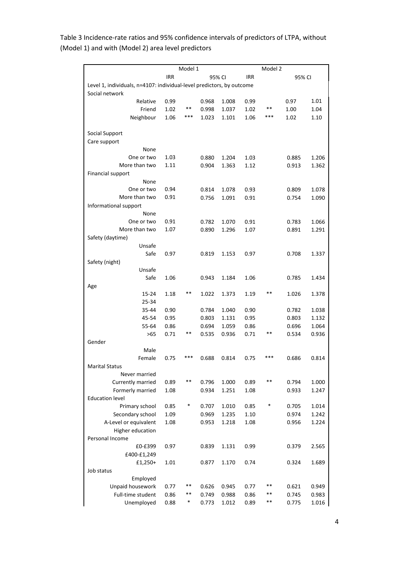|                                                                       |            | Model 1 |       |        |            | Model 2 |        |       |
|-----------------------------------------------------------------------|------------|---------|-------|--------|------------|---------|--------|-------|
|                                                                       | <b>IRR</b> |         |       | 95% CI | <b>IRR</b> |         | 95% CI |       |
| Level 1, individuals, n=4107: individual-level predictors, by outcome |            |         |       |        |            |         |        |       |
| Social network                                                        |            |         |       |        |            |         |        |       |
| Relative                                                              | 0.99       |         | 0.968 | 1.008  | 0.99       |         | 0.97   | 1.01  |
| Friend                                                                | 1.02       | **      | 0.998 | 1.037  | 1.02       | $***$   | 1.00   | 1.04  |
| Neighbour                                                             | 1.06       | ***     | 1.023 | 1.101  | 1.06       | ***     | 1.02   | 1.10  |
|                                                                       |            |         |       |        |            |         |        |       |
| Social Support                                                        |            |         |       |        |            |         |        |       |
| Care support<br>None                                                  |            |         |       |        |            |         |        |       |
| One or two                                                            | 1.03       |         | 0.880 | 1.204  | 1.03       |         | 0.885  | 1.206 |
| More than two                                                         | 1.11       |         | 0.904 | 1.363  | 1.12       |         | 0.913  | 1.362 |
| Financial support                                                     |            |         |       |        |            |         |        |       |
| None                                                                  |            |         |       |        |            |         |        |       |
| One or two                                                            | 0.94       |         | 0.814 | 1.078  | 0.93       |         | 0.809  | 1.078 |
| More than two                                                         | 0.91       |         | 0.756 | 1.091  | 0.91       |         | 0.754  | 1.090 |
| Informational support                                                 |            |         |       |        |            |         |        |       |
| None                                                                  |            |         |       |        |            |         |        |       |
| One or two                                                            | 0.91       |         | 0.782 | 1.070  | 0.91       |         | 0.783  | 1.066 |
| More than two                                                         | 1.07       |         | 0.890 | 1.296  | 1.07       |         | 0.891  | 1.291 |
| Safety (daytime)                                                      |            |         |       |        |            |         |        |       |
| Unsafe                                                                |            |         |       |        |            |         |        |       |
| Safe<br>Safety (night)                                                | 0.97       |         | 0.819 | 1.153  | 0.97       |         | 0.708  | 1.337 |
| Unsafe                                                                |            |         |       |        |            |         |        |       |
| Safe                                                                  | 1.06       |         | 0.943 | 1.184  | 1.06       |         | 0.785  | 1.434 |
| Age                                                                   |            |         |       |        |            |         |        |       |
| $15 - 24$                                                             | 1.18       | **      | 1.022 | 1.373  | 1.19       | **      | 1.026  | 1.378 |
| 25-34                                                                 |            |         |       |        |            |         |        |       |
| 35-44                                                                 | 0.90       |         | 0.784 | 1.040  | 0.90       |         | 0.782  | 1.038 |
| 45-54                                                                 | 0.95       |         | 0.803 | 1.131  | 0.95       |         | 0.803  | 1.132 |
| 55-64                                                                 | 0.86       |         | 0.694 | 1.059  | 0.86       |         | 0.696  | 1.064 |
| $>65$                                                                 | 0.71       | **      | 0.535 | 0.936  | 0.71       | **      | 0.534  | 0.936 |
| Gender                                                                |            |         |       |        |            |         |        |       |
| Male                                                                  |            |         |       |        |            |         |        |       |
| Female<br><b>Marital Status</b>                                       | 0.75       |         | 0.688 | 0.814  | 0.75       |         | 0.686  | 0.814 |
| Never married                                                         |            |         |       |        |            |         |        |       |
| Currently married                                                     | 0.89       | **      | 0.796 | 1.000  | 0.89       | **      | 0.794  | 1.000 |
| Formerly married                                                      | 1.08       |         | 0.934 | 1.251  | 1.08       |         | 0.933  | 1.247 |
| <b>Education level</b>                                                |            |         |       |        |            |         |        |       |
| Primary school                                                        | 0.85       | ∗       | 0.707 | 1.010  | 0.85       | *       | 0.705  | 1.014 |
| Secondary school                                                      | 1.09       |         | 0.969 | 1.235  | 1.10       |         | 0.974  | 1.242 |
| A-Level or equivalent                                                 | 1.08       |         | 0.953 | 1.218  | 1.08       |         | 0.956  | 1.224 |
| Higher education                                                      |            |         |       |        |            |         |        |       |
| Personal Income                                                       |            |         |       |        |            |         |        |       |
| £0-£399                                                               | 0.97       |         | 0.839 | 1.131  | 0.99       |         | 0.379  | 2.565 |
| £400-£1,249                                                           |            |         |       |        |            |         |        |       |
| $f1,250+$                                                             | 1.01       |         | 0.877 | 1.170  | 0.74       |         | 0.324  | 1.689 |
| Job status                                                            |            |         |       |        |            |         |        |       |
| Employed<br>Unpaid housework                                          | 0.77       | **      | 0.626 | 0.945  | 0.77       | **      | 0.621  | 0.949 |
| Full-time student                                                     | 0.86       | **      | 0.749 | 0.988  | 0.86       | **      | 0.745  | 0.983 |
| Unemployed                                                            | 0.88       | *       | 0.773 | 1.012  | 0.89       | **      | 0.775  | 1.016 |
|                                                                       |            |         |       |        |            |         |        |       |

Table 3 Incidence-rate ratios and 95% confidence intervals of predictors of LTPA, without (Model 1) and with (Model 2) area level predictors